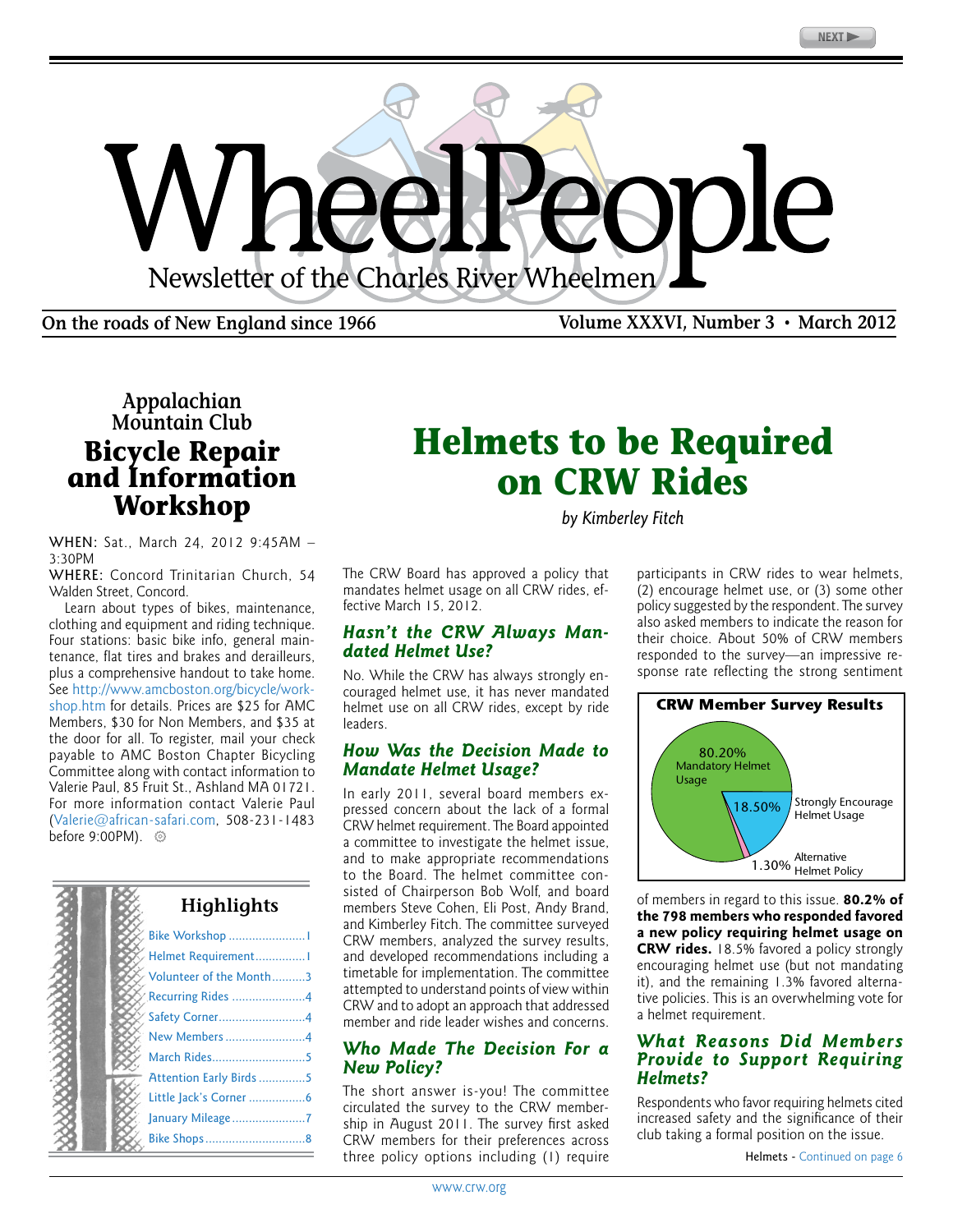<span id="page-0-0"></span>

**On the roads of New England since 1966 Volume XXXVI, Number 3 • March 2012**

## **Appalachian Mountain Club Bicycle Repair and Information Workshop**

WHEN: Sat., March 24, 2012 9:45AM – 3:30PM

WHERE: Concord Trinitarian Church, 54 Walden Street, Concord.

Learn about types of bikes, maintenance, clothing and equipment and riding technique. Four stations: basic bike info, general maintenance, flat tires and brakes and derailleurs, plus a comprehensive handout to take home. See [http://www.amcboston.org/bicycle/work](http://www.amcboston.org/bicycle/workshop.htm)[shop.htm](http://www.amcboston.org/bicycle/workshop.htm) for details. Prices are \$25 for AMC Members, \$30 for Non Members, and \$35 at the door for all. To register, mail your check payable to AMC Boston Chapter Bicycling Committee along with contact information to Valerie Paul, 85 Fruit St., Ashland MA 01721. For more information contact Valerie Paul ([Valerie@african-safari.com,](mailto:Valerie@african-safari.com) 508-231-1483 before 9:00PM). <sup>©</sup>



## **Helmets to be Required on CRW Rides**

*by Kimberley Fitch*

The CRW Board has approved a policy that mandates helmet usage on all CRW rides, effective March 15, 2012.

#### *Hasn't the CRW Always Mandated Helmet Use?*

No. While the CRW has always strongly encouraged helmet use, it has never mandated helmet use on all CRW rides, except by ride leaders.

#### *How Was the Decision Made to Mandate Helmet Usage?*

In early 2011, several board members expressed concern about the lack of a formal CRW helmet requirement. The Board appointed a committee to investigate the helmet issue, and to make appropriate recommendations to the Board. The helmet committee consisted of Chairperson Bob Wolf, and board members Steve Cohen, Eli Post, Andy Brand, and Kimberley Fitch. The committee surveyed CRW members, analyzed the survey results, and developed recommendations including a timetable for implementation. The committee attempted to understand points of view within CRW and to adopt an approach that addressed member and ride leader wishes and concerns.

#### *Who Made The Decision For a New Policy?*

The short answer is-you! The committee circulated the survey to the CRW membership in August 2011. The survey first asked CRW members for their preferences across three policy options including (1) require

participants in CRW rides to wear helmets, (2) encourage helmet use, or (3) some other policy suggested by the respondent. The survey also asked members to indicate the reason for their choice. About 50% of CRW members responded to the survey—an impressive response rate reflecting the strong sentiment



of members in regard to this issue. **80.2% of the 798 members who responded favored a new policy requiring helmet usage on CRW rides.** 18.5% favored a policy strongly encouraging helmet use (but not mandating it), and the remaining 1.3% favored alternative policies. This is an overwhelming vote for a helmet requirement.

#### *What Reasons Did Members Provide to Support Requiring Helmets?*

Respondents who favor requiring helmets cited increased safety and the significance of their club taking a formal position on the issue.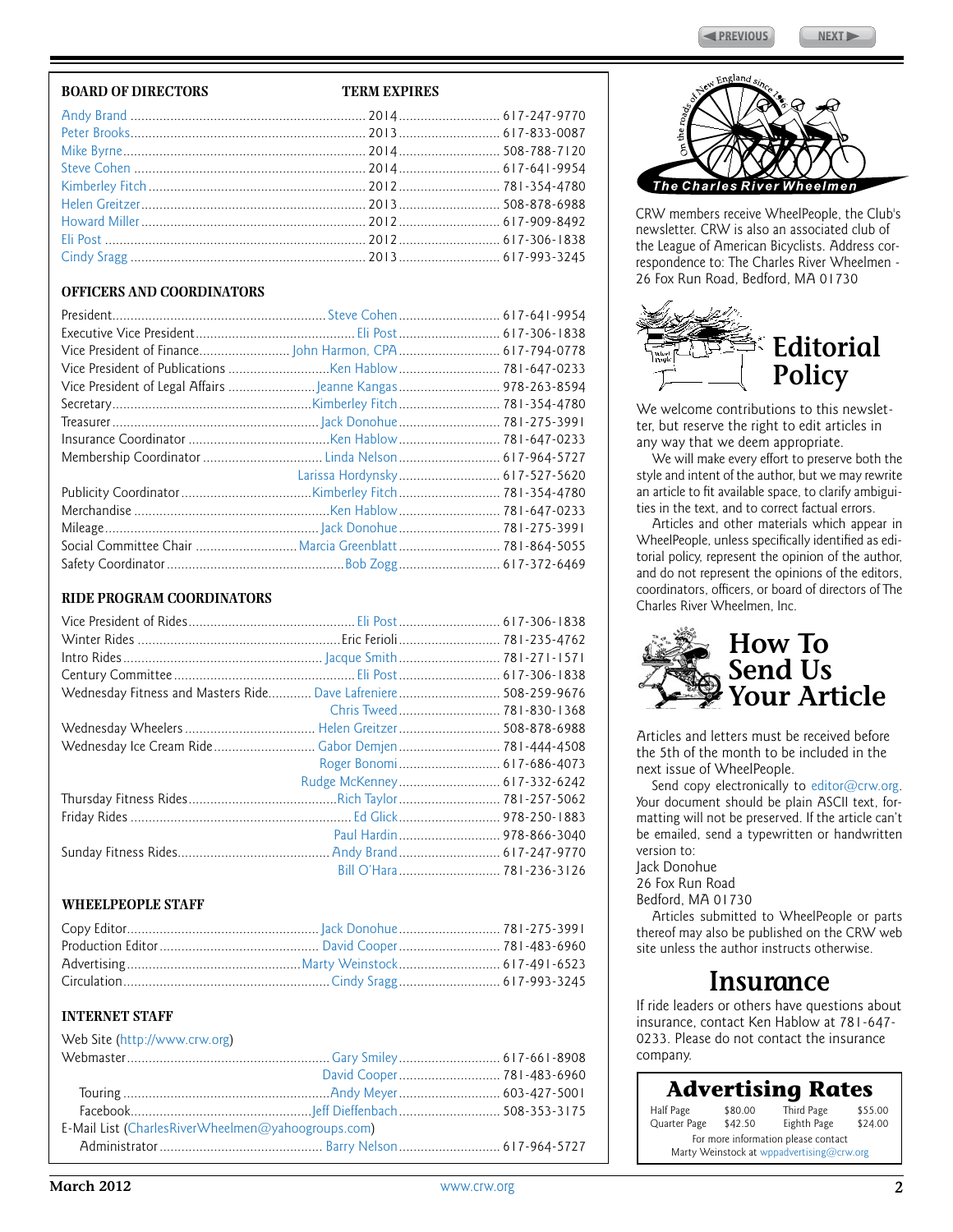#### **BOARD OF DIRECTORS TERM EXPIRES**

#### [Andy Brand](mailto:abrand@alum.rpi.edu) ................................................................. 2014............................ 617-247-9770 [Peter Brooks.](mailto:p.brooks@verizon.net)................................................................ 2013............................ 617-833-0087 [Mike Byrne](mailto:raddad47@aol.com)................................................................... 2014............................ 508-788-7120 [Steve Cohen](mailto:scohen1234@gmail.com) ................................................................ 2014............................ 617-641-9954 [Kimberley Fitch](mailto:peerprint@yahoo.com)............................................................ 2012............................ 781-354-4780 [Helen Greitzer](mailto:helengreitzer@hotmail.com).............................................................. 2013............................ 508-878-6988 [Howard Miller](mailto:HowardRM12@aol.com).............................................................. 2012............................ 617-909-8492 [Eli Post](mailto:elipost@comcast.net) ........................................................................ 2012............................ 617-306-1838 [Cindy Sragg](mailto:cindy.sragg@alkermes.com) ................................................................. 2013............................ 617-993-3245

#### **Officers and Coordinators**

|                                                       | Larissa Hordynsky 617-527-5620 |
|-------------------------------------------------------|--------------------------------|
|                                                       |                                |
|                                                       |                                |
|                                                       |                                |
| Social Committee Chair Marcia Greenblatt 781-864-5055 |                                |
|                                                       |                                |

#### **Ride Program Coordinators**

|  | Chris Tweed 781-830-1368    |
|--|-----------------------------|
|  |                             |
|  |                             |
|  |                             |
|  | Rudge McKenney 617-332-6242 |
|  |                             |
|  |                             |
|  |                             |
|  |                             |
|  |                             |
|  |                             |

#### **WheelPeople Staff**

#### **INTERNET STAFF**

| Web Site (http://www.crw.org)                      |  |
|----------------------------------------------------|--|
|                                                    |  |
|                                                    |  |
|                                                    |  |
|                                                    |  |
| E-Mail List (CharlesRiverWheelmen@yahoogroups.com) |  |
|                                                    |  |



CRW members receive WheelPeople, the Club's newsletter. CRW is also an associated club of the League of American Bicyclists. Address correspondence to: The Charles River Wheelmen - 26 Fox Run Road, Bedford, MA 01730



We welcome contributions to this newsletter, but reserve the right to edit articles in any way that we deem appropriate.

We will make every effort to preserve both the style and intent of the author, but we may rewrite an article to fit available space, to clarify ambiguities in the text, and to correct factual errors.

Articles and other materials which appear in WheelPeople, unless specifically identified as editorial policy, represent the opinion of the author, and do not represent the opinions of the editors, coordinators, officers, or board of directors of The Charles River Wheelmen, Inc.



Articles and letters must be received before the 5th of the month to be included in the next issue of WheelPeople.

Send copy electronically to [editor@crw.org.](mailto:editor@crw.org) Your document should be plain ASCII text, formatting will not be preserved. If the article can't be emailed, send a typewritten or handwritten version to:

Jack Donohue

26 Fox Run Road

Bedford, MA 01730

Articles submitted to WheelPeople or parts thereof may also be published on the CRW web site unless the author instructs otherwise.

## **Insurance**

If ride leaders or others have questions about insurance, contact Ken Hablow at 781-647- 0233. Please do not contact the insurance company.

Half Page \$80.00 Third Page \$55.00 Eighth Page **Advertising Rates** For more information please contact Marty Weinstock at [wppadvertising@crw.org](mailto:wppadvertising@crw.org)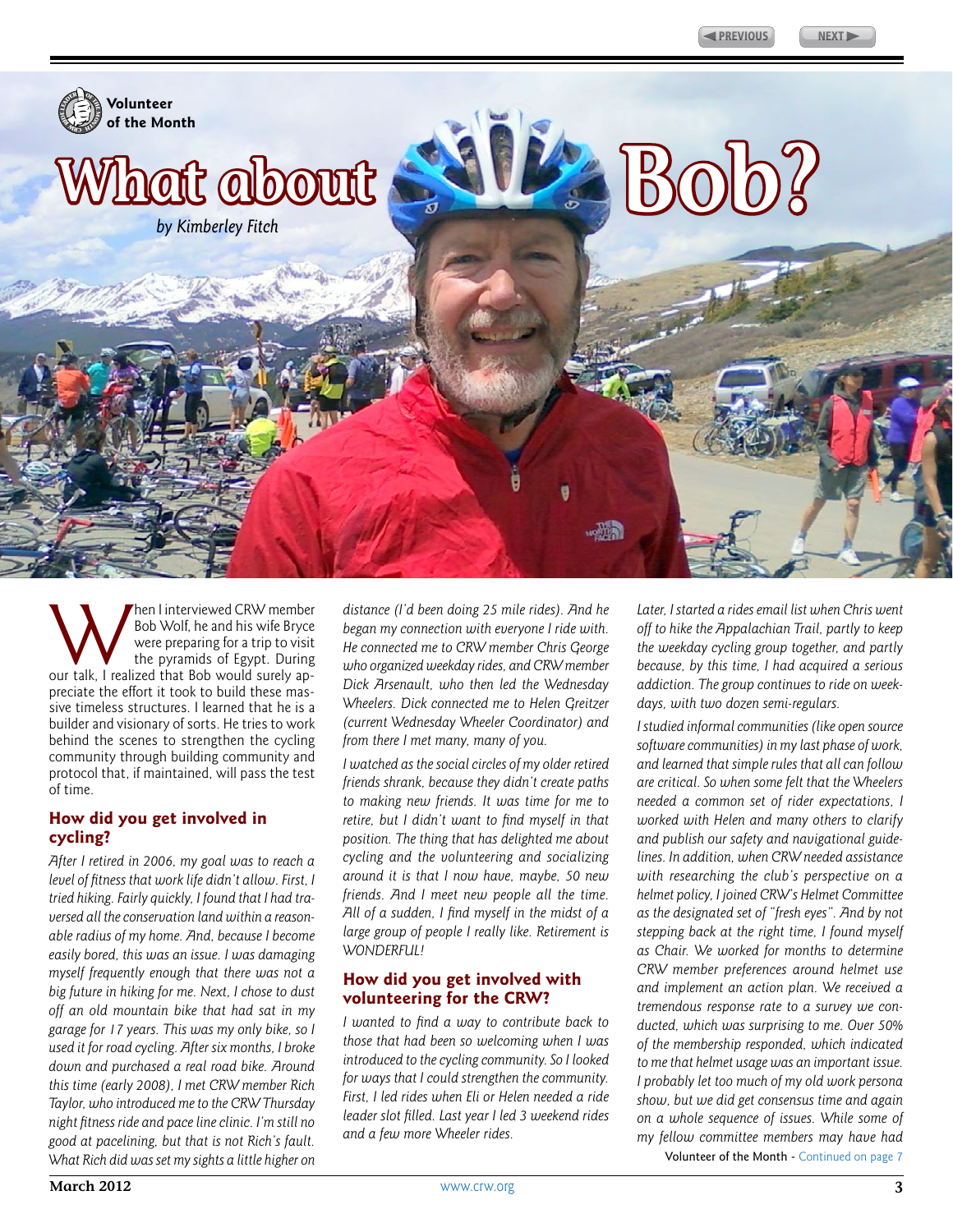<span id="page-2-0"></span>

Men I interviewed CRW member<br>
Bob Wolf, he and his wife Bryce<br>
were preparing for a trip to visit<br>
the pyramids of Egypt. During<br>
our talk, I realized that Bob would surely ap-Bob Wolf, he and his wife Bryce were preparing for a trip to visit the pyramids of Egypt. During preciate the effort it took to build these massive timeless structures. I learned that he is a builder and visionary of sorts. He tries to work behind the scenes to strengthen the cycling community through building community and protocol that, if maintained, will pass the test of time.

#### **How did you get involved in cycling?**

*After I retired in 2006, my goal was to reach a level of fitness that work life didn't allow. First, I tried hiking. Fairly quickly, I found that I had traversed all the conservation land within a reasonable radius of my home. And, because I become easily bored, this was an issue. I was damaging myself frequently enough that there was not a big future in hiking for me. Next, I chose to dust off an old mountain bike that had sat in my garage for 17 years. This was my only bike, so I used it for road cycling. After six months, I broke down and purchased a real road bike. Around this time (early 2008), I met CRW member Rich Taylor, who introduced me to the CRW Thursday night fitness ride and pace line clinic. I'm still no good at pacelining, but that is not Rich's fault. What Rich did was set my sights a little higher on* 

*distance (I'd been doing 25 mile rides). And he began my connection with everyone I ride with. He connected me to CRW member Chris George who organized weekday rides, and CRW member Dick Arsenault, who then led the Wednesday Wheelers. Dick connected me to Helen Greitzer (current Wednesday Wheeler Coordinator) and from there I met many, many of you.*

*I watched as the social circles of my older retired friends shrank, because they didn't create paths to making new friends. It was time for me to retire, but I didn't want to find myself in that position. The thing that has delighted me about cycling and the volunteering and socializing around it is that I now have, maybe, 50 new friends. And I meet new people all the time. All of a sudden, I find myself in the midst of a large group of people I really like. Retirement is WONDERFUL!*

#### **How did you get involved with volunteering for the CRW?**

*I wanted to find a way to contribute back to those that had been so welcoming when I was introduced to the cycling community. So I looked for ways that I could strengthen the community. First, I led rides when Eli or Helen needed a ride leader slot filled. Last year I led 3 weekend rides and a few more Wheeler rides.*

*Later, I started a rides email list when Chris went off to hike the Appalachian Trail, partly to keep the weekday cycling group together, and partly because, by this time, I had acquired a serious addiction. The group continues to ride on weekdays, with two dozen semi-regulars.*

*I studied informal communities (like open source software communities) in my last phase of work, and learned that simple rules that all can follow are critical. So when some felt that the Wheelers needed a common set of rider expectations, I worked with Helen and many others to clarify and publish our safety and navigational guidelines. In addition, when CRW needed assistance with researching the club's perspective on a helmet policy, I joined CRW's Helmet Committee as the designated set of "fresh eyes". And by not stepping back at the right time, I found myself as Chair. We worked for months to determine CRW member preferences around helmet use and implement an action plan. We received a tremendous response rate to a survey we conducted, which was surprising to me. Over 50% of the membership responded, which indicated to me that helmet usage was an important issue. I probably let too much of my old work persona show, but we did get consensus time and again on a whole sequence of issues. While some of my fellow committee members may have had*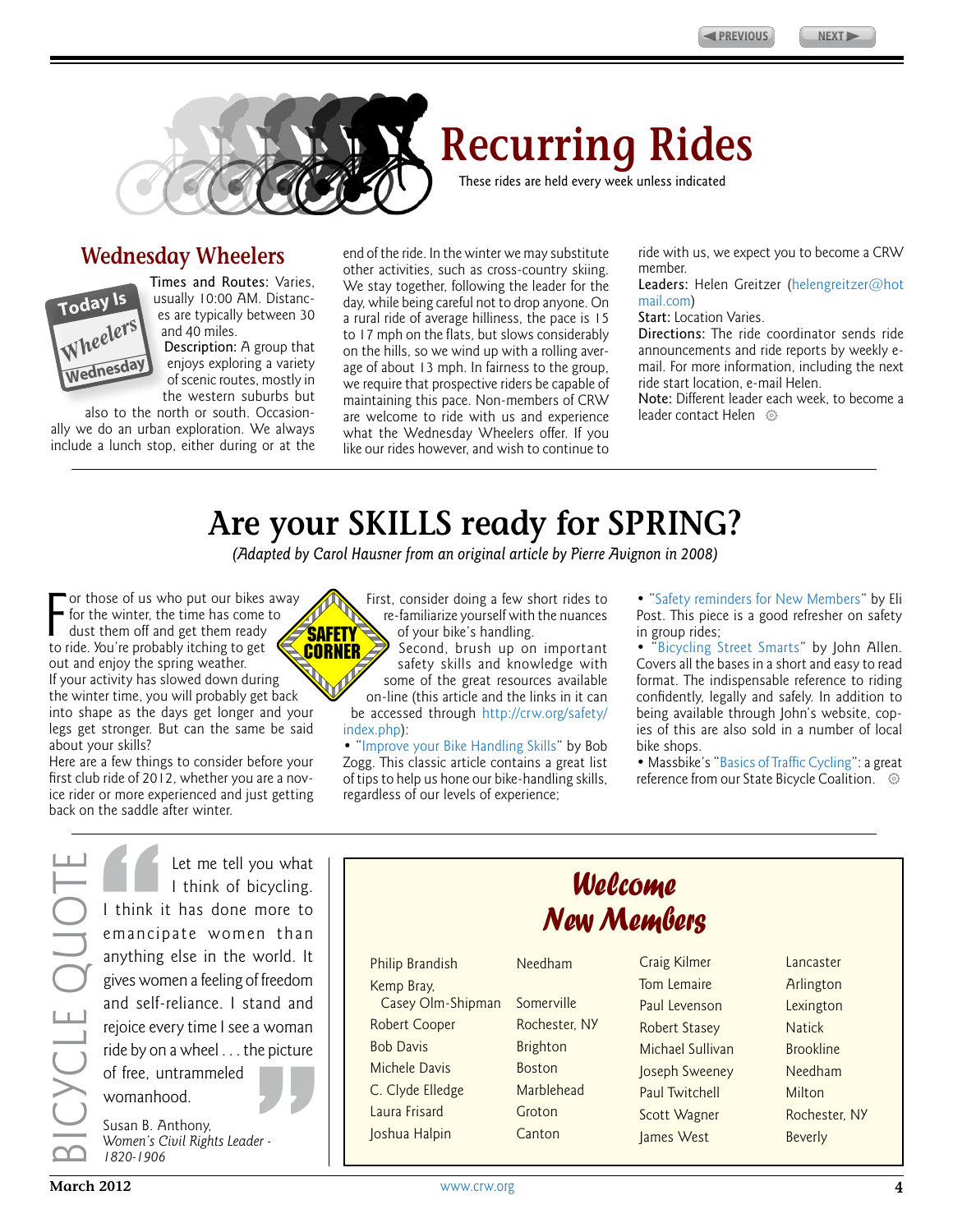

<span id="page-3-0"></span>

## **Recurring Rides**

These rides are held every week unless indicated

### **Wednesday Wheelers**



Times and Routes: Varies, usually 10:00 AM. Distances are typically between 30 and 40 miles.

Description: A group that enjoys exploring a variety of scenic routes, mostly in the western suburbs but

also to the north or south. Occasionally we do an urban exploration. We always include a lunch stop, either during or at the end of the ride. In the winter we may substitute other activities, such as cross-country skiing. We stay together, following the leader for the day, while being careful not to drop anyone. On a rural ride of average hilliness, the pace is 15 to 17 mph on the flats, but slows considerably on the hills, so we wind up with a rolling average of about 13 mph. In fairness to the group, we require that prospective riders be capable of maintaining this pace. Non-members of CRW are welcome to ride with us and experience what the Wednesday Wheelers offer. If you like our rides however, and wish to continue to

ride with us, we expect you to become a CRW member.

Leaders: Helen Greitzer ([helengreitzer@hot](mailto:helengreitzer@hotmail.com) [mail.com\)](mailto:helengreitzer@hotmail.com)

#### Start: Location Varies.

Directions: The ride coordinator sends ride announcements and ride reports by weekly email. For more information, including the next ride start location, e-mail Helen.

Note: Different leader each week, to become a leader contact Helen <sup>®</sup>

## **Are your SKILLS ready for SPRING?**

*(Adapted by Carol Hausner from an original article by Pierre Avignon in 2008)*

For those of us who put our bikes<br>for the winter, the time has come<br>dust them off and get them ready<br>to ride. You're probably itching to get or those of us who put our bikes away for the winter, the time has come to dust them off and get them ready out and enjoy the spring weather. If your activity has slowed down during the winter time, you will probably get back into shape as the days get longer and your legs get stronger. But can the same be said about your skills?

Here are a few things to consider before your first club ride of 2012, whether you are a novice rider or more experienced and just getting back on the saddle after winter.



First, consider doing a few short rides to re-familiarize yourself with the nuances of your bike's handling.

Second, brush up on important safety skills and knowledge with some of the great resources available on-line (this article and the links in it can

be accessed through [http://crw.org/safety/](http://crw.org/safety/index.php) [index.php\)](http://crw.org/safety/index.php):

• "[Improve your Bike Handling Skills"](http://crw.org/safety/05safetyPgs/05aug-BikeHandling.php) by Bob Zogg. This classic article contains a great list of tips to help us hone our bike-handling skills, regardless of our levels of experience;

• "[Safety reminders for New Members](http://www.crw.org/safety/08safetyPgs/08feb-Reminders.php)" by Eli Post. This piece is a good refresher on safety in group rides;

• "[Bicycling Street Smarts](http://www.bikexprt.com/streetsmarts/usa/index.htm)" by John Allen. Covers all the bases in a short and easy to read format. The indispensable reference to riding confidently, legally and safely. In addition to being available through John's website, copies of this are also sold in a number of local bike shops.

• Massbike's "[Basics of Traffic Cycling](http://www.massbike.org/resourcesnew/bike-skills/)": a great reference from our State Bicycle Coalition.  $\circledcirc$ 

Bicycle Quote ICYCLE QUO

Let me tell you what I think of bicycling. I think it has done more to emancipate women than anything else in the world. It gives women a feeling of freedom and self-reliance. I stand and rejoice every time I see a woman ride by on a wheel . . . the picture of free, untrammeled womanhood.

Susan B. Anthony, *Women's Civil Rights Leader - 1820-1906* 

Philip Brandish Needham Kemp Bray, Casey Olm-Shipman Somerville Robert Cooper Rochester, NY Bob Davis Brighton Michele Davis Boston C. Clyde Elledge Marblehead Laura Frisard Groton Joshua Halpin Canton

*Welcome New Members*

> Tom Lemaire **Arlington** Paul Levenson Lexington Robert Stasey Natick Michael Sullivan Brookline Joseph Sweeney Needham Paul Twitchell Milton Scott Wagner Rochester, NY James West Beverly

Craig Kilmer Lancaster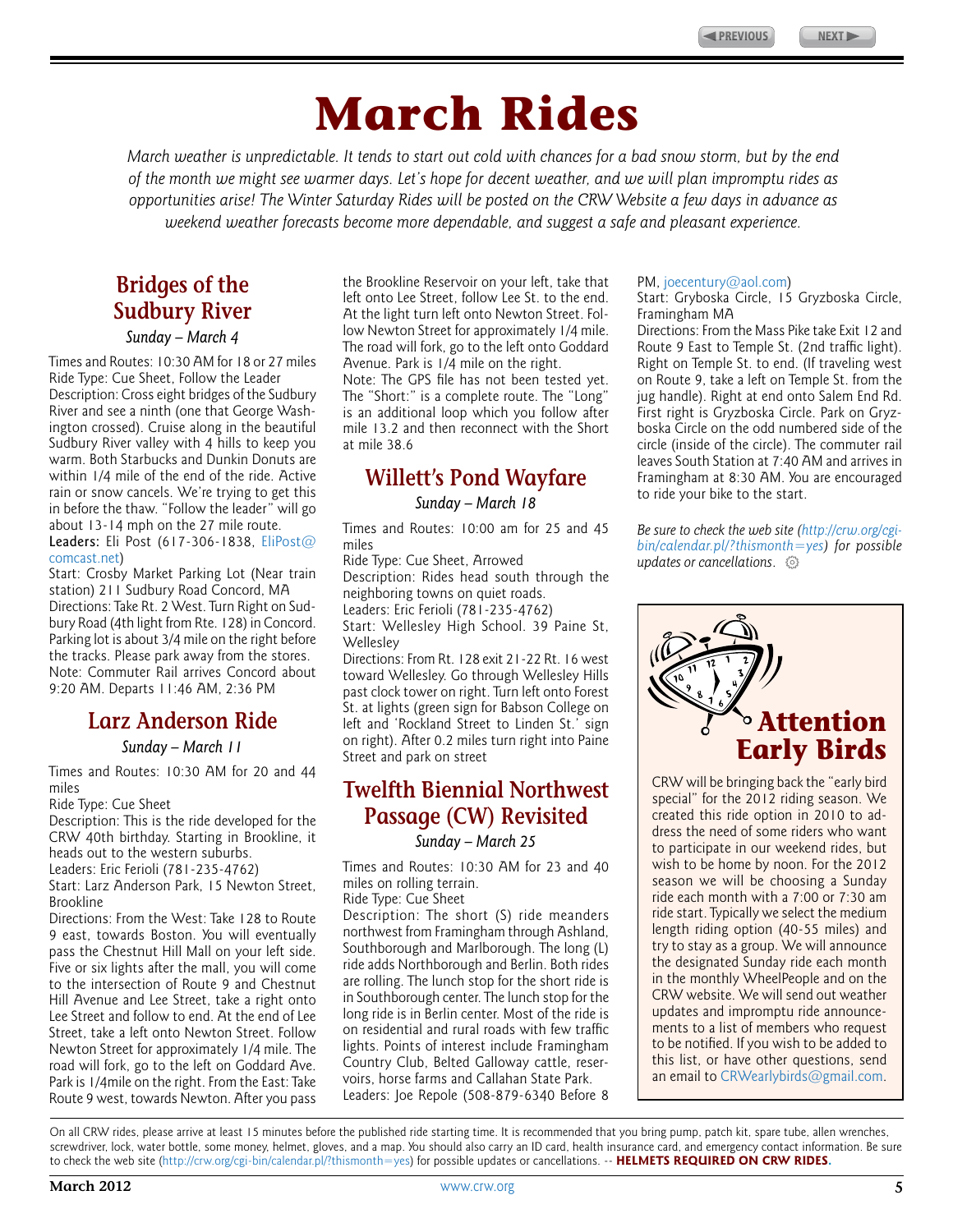# **March Rides**

<span id="page-4-0"></span>*March weather is unpredictable. It tends to start out cold with chances for a bad snow storm, but by the end of the month we might see warmer days. Let's hope for decent weather, and we will plan impromptu rides as opportunities arise! The Winter Saturday Rides will be posted on the CRW Website a few days in advance as weekend weather forecasts become more dependable, and suggest a safe and pleasant experience.*

## **Bridges of the Sudbury River**

*Sunday – March 4*

Times and Routes: 10:30 AM for 18 or 27 miles Ride Type: Cue Sheet, Follow the Leader Description: Cross eight bridges of the Sudbury River and see a ninth (one that George Washington crossed). Cruise along in the beautiful Sudbury River valley with 4 hills to keep you warm. Both Starbucks and Dunkin Donuts are within 1/4 mile of the end of the ride. Active rain or snow cancels. We're trying to get this in before the thaw. "Follow the leader" will go about 13-14 mph on the 27 mile route. Leaders: Eli Post (617-306-1838, [EliPost@](mailto:elipost@comcast.net) [comcast.net\)](mailto:elipost@comcast.net)

Start: Crosby Market Parking Lot (Near train station) 211 Sudbury Road Concord, MA Directions: Take Rt. 2 West. Turn Right on Sudbury Road (4th light from Rte. 128) in Concord. Parking lot is about 3/4 mile on the right before the tracks. Please park away from the stores. Note: Commuter Rail arrives Concord about 9:20 AM. Departs 11:46 AM, 2:36 PM

### **Larz Anderson Ride**

*Sunday – March 11*

Times and Routes: 10:30 AM for 20 and 44 miles

Ride Type: Cue Sheet

Description: This is the ride developed for the CRW 40th birthday. Starting in Brookline, it heads out to the western suburbs.

Leaders: Eric Ferioli (781-235-4762)

Start: Larz Anderson Park, 15 Newton Street, Brookline

Directions: From the West: Take 128 to Route 9 east, towards Boston. You will eventually pass the Chestnut Hill Mall on your left side. Five or six lights after the mall, you will come to the intersection of Route 9 and Chestnut Hill Avenue and Lee Street, take a right onto Lee Street and follow to end. At the end of Lee Street, take a left onto Newton Street. Follow Newton Street for approximately 1/4 mile. The road will fork, go to the left on Goddard Ave. Park is 1/4mile on the right. From the East: Take Route 9 west, towards Newton. After you pass the Brookline Reservoir on your left, take that left onto Lee Street, follow Lee St. to the end. At the light turn left onto Newton Street. Follow Newton Street for approximately 1/4 mile. The road will fork, go to the left onto Goddard Avenue. Park is 1/4 mile on the right.

Note: The GPS file has not been tested yet. The "Short:" is a complete route. The "Long" is an additional loop which you follow after mile 13.2 and then reconnect with the Short at mile 38.6

## **Willett's Pond Wayfare**

*Sunday – March 18*

Times and Routes: 10:00 am for 25 and 45 miles

Ride Type: Cue Sheet, Arrowed

Description: Rides head south through the neighboring towns on quiet roads.

Leaders: Eric Ferioli (781-235-4762) Start: Wellesley High School. 39 Paine St,

**Wellesley** 

Directions: From Rt. 128 exit 21-22 Rt. 16 west toward Wellesley. Go through Wellesley Hills past clock tower on right. Turn left onto Forest St. at lights (green sign for Babson College on left and 'Rockland Street to Linden St.' sign on right). After 0.2 miles turn right into Paine Street and park on street

## **Twelfth Biennial Northwest Passage (CW) Revisited**

*Sunday – March 25*

Times and Routes: 10:30 AM for 23 and 40 miles on rolling terrain.

Ride Type: Cue Sheet

Description: The short (S) ride meanders northwest from Framingham through Ashland, Southborough and Marlborough. The long (L) ride adds Northborough and Berlin. Both rides are rolling. The lunch stop for the short ride is in Southborough center. The lunch stop for the long ride is in Berlin center. Most of the ride is on residential and rural roads with few traffic lights. Points of interest include Framingham Country Club, Belted Galloway cattle, reservoirs, horse farms and Callahan State Park. Leaders: Joe Repole (508-879-6340 Before 8

#### PM, [joecentury@aol.com\)](mailto:joecentury@aol.com)

Start: Gryboska Circle, 15 Gryzboska Circle, Framingham MA

Directions: From the Mass Pike take Exit 12 and Route 9 East to Temple St. (2nd traffic light). Right on Temple St. to end. (If traveling west on Route 9, take a left on Temple St. from the jug handle). Right at end onto Salem End Rd. First right is Gryzboska Circle. Park on Gryzboska Circle on the odd numbered side of the circle (inside of the circle). The commuter rail leaves South Station at 7:40 AM and arrives in Framingham at 8:30 AM. You are encouraged to ride your bike to the start.

*Be sure to check the web site [\(http://crw.org/cgi](http://crw.org/cgi-bin/calendar.pl/?thismonth=yes)[bin/calendar.pl/?thismonth=yes\)](http://crw.org/cgi-bin/calendar.pl/?thismonth=yes) for possible updates or cancellations*.



CRW will be bringing back the "early bird special" for the 2012 riding season. We created this ride option in 2010 to address the need of some riders who want to participate in our weekend rides, but wish to be home by noon. For the 2012 season we will be choosing a Sunday ride each month with a 7:00 or 7:30 am ride start. Typically we select the medium length riding option (40-55 miles) and try to stay as a group. We will announce the designated Sunday ride each month in the monthly WheelPeople and on the CRW website. We will send out weather updates and impromptu ride announcements to a list of members who request to be notified. If you wish to be added to this list, or have other questions, send an email to [CRWearlybirds@gmail.com.](mailto:CRWearlybirds@gmail.com)

On all CRW rides, please arrive at least 15 minutes before the published ride starting time. It is recommended that you bring pump, patch kit, spare tube, allen wrenches, screwdriver, lock, water bottle, some money, helmet, gloves, and a map. You should also carry an ID card, health insurance card, and emergency contact information. Be sure to check the web site [\(http://crw.org/cgi-bin/calendar.pl/?thismonth=yes\)](http://crw.org/cgi-bin/calendar.pl/?thismonth=yes) for possible updates or cancellations. -- **HELMETS REQUIRED ON CRW RIDES.**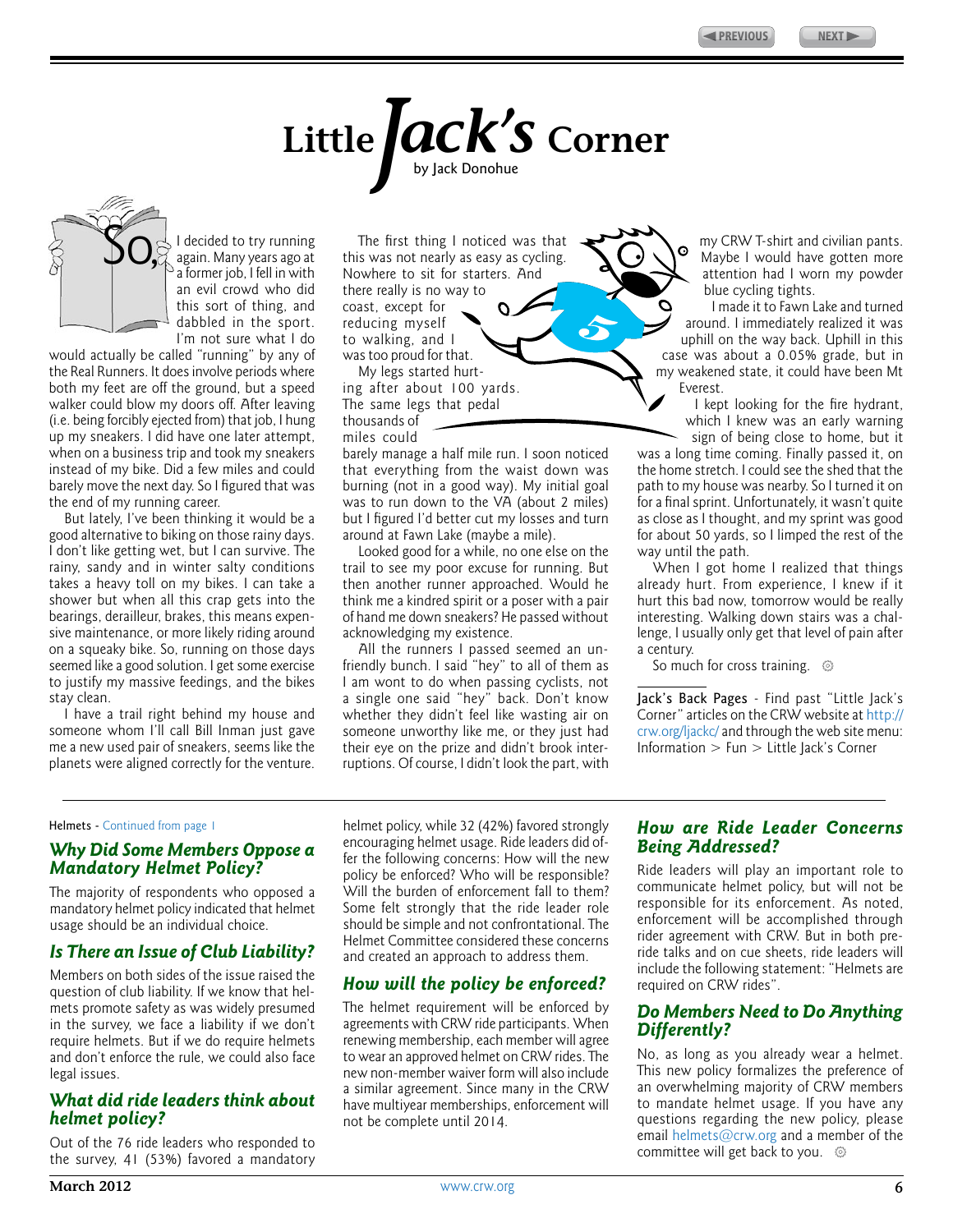$\ddot{\mathbf{c}}$ 

# **Little***Jack's* **Corner** by Jack Donohue

<span id="page-5-0"></span>

I decided to try running again. Many years ago at a former job, I fell in with an evil crowd who did this sort of thing, and dabbled in the sport. I'm not sure what I do I decided to try running The first thing I noticed was that I again. Many years ago at this was not nearly as easy as cycling.

would actually be called "running" by any of the Real Runners. It does involve periods where both my feet are off the ground, but a speed walker could blow my doors off. After leaving (i.e. being forcibly ejected from) that job, I hung up my sneakers. I did have one later attempt, when on a business trip and took my sneakers instead of my bike. Did a few miles and could barely move the next day. So I figured that was the end of my running career.

But lately, I've been thinking it would be a good alternative to biking on those rainy days. I don't like getting wet, but I can survive. The rainy, sandy and in winter salty conditions takes a heavy toll on my bikes. I can take a shower but when all this crap gets into the bearings, derailleur, brakes, this means expensive maintenance, or more likely riding around on a squeaky bike. So, running on those days seemed like a good solution. I get some exercise to justify my massive feedings, and the bikes stay clean.

I have a trail right behind my house and someone whom I'll call Bill Inman just gave me a new used pair of sneakers, seems like the planets were aligned correctly for the venture. Nowhere to sit for starters. And there really is no way to coast, except for reducing myself to walking, and I was too proud for that.

My legs started hurting after about 100 yards. The same legs that pedal thousands of

miles could

barely manage a half mile run. I soon noticed that everything from the waist down was burning (not in a good way). My initial goal was to run down to the VA (about 2 miles) but I figured I'd better cut my losses and turn around at Fawn Lake (maybe a mile).

Looked good for a while, no one else on the trail to see my poor excuse for running. But then another runner approached. Would he think me a kindred spirit or a poser with a pair of hand me down sneakers? He passed without acknowledging my existence.

All the runners I passed seemed an unfriendly bunch. I said "hey" to all of them as I am wont to do when passing cyclists, not a single one said "hey" back. Don't know whether they didn't feel like wasting air on someone unworthy like me, or they just had their eye on the prize and didn't brook interruptions. Of course, I didn't look the part, with

my CRW T-shirt and civilian pants. Maybe I would have gotten more attention had I worn my powder blue cycling tights.

I made it to Fawn Lake and turned around. I immediately realized it was uphill on the way back. Uphill in this case was about a 0.05% grade, but in my weakened state, it could have been Mt Everest.

I kept looking for the fire hydrant, which I knew was an early warning sign of being close to home, but it

was a long time coming. Finally passed it, on the home stretch. I could see the shed that the path to my house was nearby. So I turned it on for a final sprint. Unfortunately, it wasn't quite as close as I thought, and my sprint was good for about 50 yards, so I limped the rest of the way until the path.

When I got home I realized that things already hurt. From experience, I knew if it hurt this bad now, tomorrow would be really interesting. Walking down stairs was a challenge, I usually only get that level of pain after a century.

So much for cross training.  $\circledcirc$ 

Jack's Back Pages - Find past "Little Jack's Corner" articles on the CRW website at [http://](http://crw.org/ljackc/) [crw.org/ljackc/](http://crw.org/ljackc/) and through the web site menu: Information > Fun > Little Jack's Corner

#### Helmets - [Continued from page 1](#page-0-0)

#### *Why Did Some Members Oppose a Mandatory Helmet Policy?*

The majority of respondents who opposed a mandatory helmet policy indicated that helmet usage should be an individual choice.

#### *Is There an Issue of Club Liability?*

Members on both sides of the issue raised the question of club liability. If we know that helmets promote safety as was widely presumed in the survey, we face a liability if we don't require helmets. But if we do require helmets and don't enforce the rule, we could also face legal issues.

#### *What did ride leaders think about helmet policy?*

Out of the 76 ride leaders who responded to the survey, 41 (53%) favored a mandatory helmet policy, while 32 (42%) favored strongly encouraging helmet usage. Ride leaders did offer the following concerns: How will the new policy be enforced? Who will be responsible? Will the burden of enforcement fall to them? Some felt strongly that the ride leader role should be simple and not confrontational. The Helmet Committee considered these concerns and created an approach to address them.

#### *How will the policy be enforced?*

The helmet requirement will be enforced by agreements with CRW ride participants. When renewing membership, each member will agree to wear an approved helmet on CRW rides. The new non-member waiver form will also include a similar agreement. Since many in the CRW have multiyear memberships, enforcement will not be complete until 2014.

#### *How are Ride Leader Concerns Being Addressed?*

Ride leaders will play an important role to communicate helmet policy, but will not be responsible for its enforcement. As noted, enforcement will be accomplished through rider agreement with CRW. But in both preride talks and on cue sheets, ride leaders will include the following statement: "Helmets are required on CRW rides".

#### *Do Members Need to Do Anything Differently?*

No, as long as you already wear a helmet. This new policy formalizes the preference of an overwhelming majority of CRW members to mandate helmet usage. If you have any questions regarding the new policy, please email [helmets@crw.org](emailto:helmets@crw.org) and a member of the committee will get back to you.  $\circledcirc$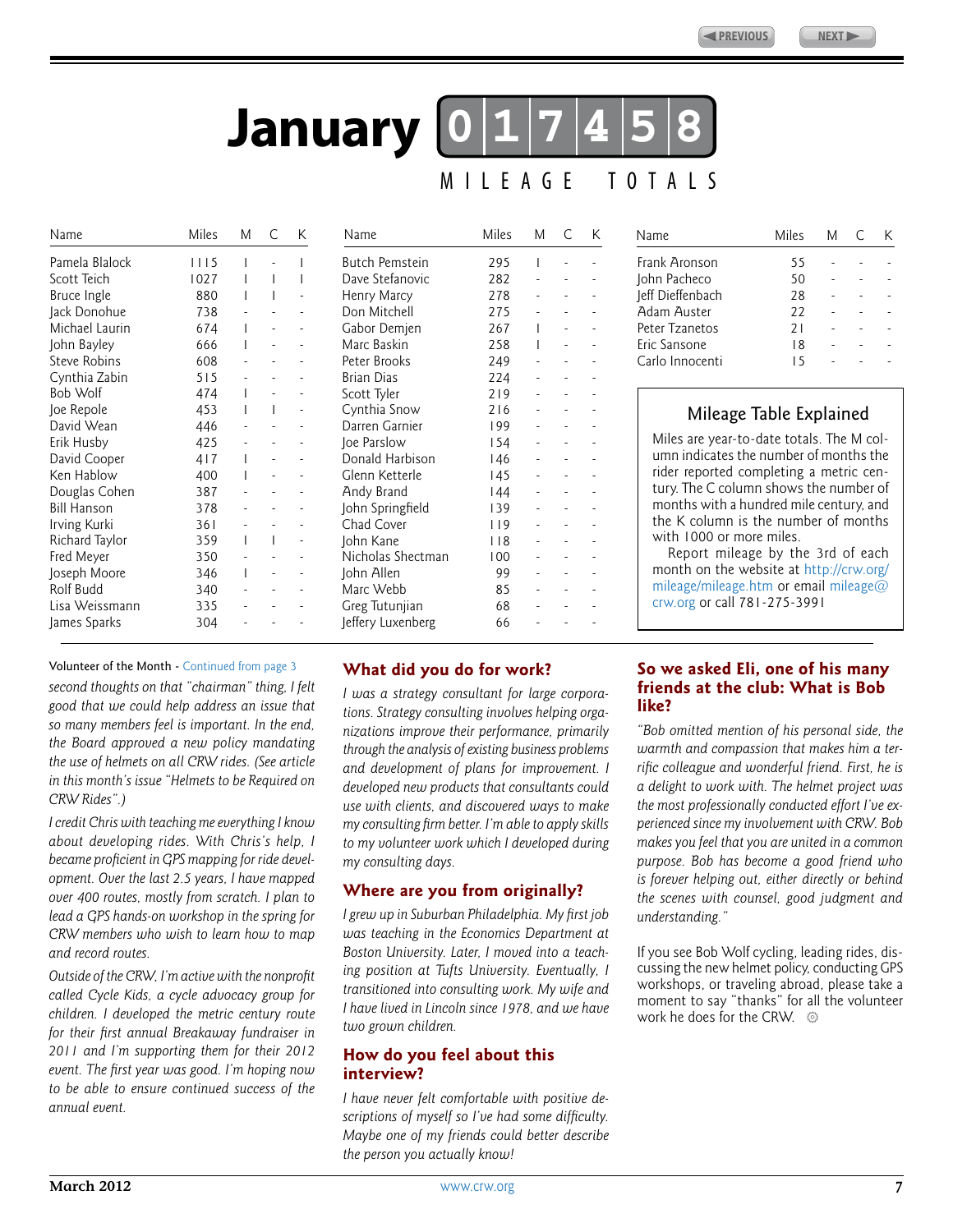# **017458 January** MILEAGE TOTALS

<span id="page-6-0"></span>

| Name               | Miles | М | C            | K                        | Name                  | <b>Miles</b> | M | C | K |
|--------------------|-------|---|--------------|--------------------------|-----------------------|--------------|---|---|---|
| Pamela Blalock     | 1115  |   |              |                          | <b>Butch Pemstein</b> | 295          |   |   |   |
| Scott Teich        | 1027  |   |              |                          | Dave Stefanovic       | 282          |   |   |   |
| Bruce Ingle        | 880   |   |              |                          | Henry Marcy           | 278          |   |   |   |
| Jack Donohue       | 738   |   |              |                          | Don Mitchell          | 275          |   |   |   |
| Michael Laurin     | 674   | L |              |                          | Gabor Demjen          | 267          | 1 |   |   |
| John Bayley        | 666   |   |              |                          | Marc Baskin           | 258          | 1 |   |   |
| Steve Robins       | 608   |   |              |                          | Peter Brooks          | 249          |   |   |   |
| Cynthia Zabin      | 515   |   |              |                          | <b>Brian Dias</b>     | 224          |   |   |   |
| Bob Wolf           | 474   |   |              |                          | Scott Tyler           | 219          |   |   |   |
| Joe Repole         | 453   |   |              |                          | Cynthia Snow          | 216          |   |   |   |
| David Wean         | 446   |   |              |                          | Darren Garnier        | 199          |   |   |   |
| Erik Husby         | 425   |   |              |                          | loe Parslow           | 154          |   |   |   |
| David Cooper       | 417   |   |              |                          | Donald Harbison       | 146          |   |   |   |
| Ken Hablow         | 400   |   |              |                          | Glenn Ketterle        | 145          |   |   |   |
| Douglas Cohen      | 387   |   |              |                          | Andy Brand            | 144          |   |   |   |
| <b>Bill Hanson</b> | 378   |   |              |                          | John Springfield      | 139          |   |   |   |
| Irving Kurki       | 361   |   |              |                          | Chad Cover            | 119          |   |   |   |
| Richard Taylor     | 359   |   | $\mathbf{I}$ | $\overline{\phantom{m}}$ | John Kane             | 118          |   |   |   |
| Fred Meyer         | 350   |   |              |                          | Nicholas Shectman     | 100          |   |   |   |
| Joseph Moore       | 346   |   |              | $\overline{a}$           | John Allen            | 99           |   |   |   |
| Rolf Budd          | 340   |   |              |                          | Marc Webb             | 85           |   |   |   |
| Lisa Weissmann     | 335   |   |              |                          | Greg Tutunjian        | 68           |   |   |   |
| James Sparks       | 304   |   |              |                          | Jeffery Luxenberg     | 66           |   |   |   |

| Butch Pemstein    | 295 | I |  |
|-------------------|-----|---|--|
| Dave Stefanovic   | 282 |   |  |
| Henry Marcy       | 278 |   |  |
| Don Mitchell      | 275 |   |  |
| Gabor Demjen      | 267 | I |  |
| Marc Baskin       | 258 | I |  |
| Peter Brooks      | 249 |   |  |
| Brian Dias        | 224 |   |  |
| Scott Tyler       | 219 |   |  |
| Cynthia Snow      | 216 |   |  |
| Darren Garnier    | 199 |   |  |
| Joe Parslow       | 154 |   |  |
| Donald Harbison   | 146 |   |  |
| Glenn Ketterle    | 145 |   |  |
| Andy Brand        | 144 |   |  |
| John Springfield  | 139 |   |  |
| Chad Cover        | 119 |   |  |
| John Kane         | 118 |   |  |
| Nicholas Shectman | 100 |   |  |
| John Allen        | 99  |   |  |
| Marc Webb         | 85  |   |  |
| Greg Tutunjian    | 68  |   |  |
| Jeffery Luxenberg | 66  |   |  |

## Mileage Table Explained

Name Miles M C K

John Pacheco 50 - - -

Frank Aronson 55

leff Dieffenbach 28 Adam Auster 22 Peter Tzanetos 21 Eric Sansone 18 Carlo Innocenti 15

Miles are year-to-date totals. The M column indicates the number of months the rider reported completing a metric century. The C column shows the number of months with a hundred mile century, and the K column is the number of months with 1000 or more miles.

Report mileage by the 3rd of each month on the website at [http://crw.org/](http://crw.org/mileage/mileage.htm) [mileage/mileage.htm](http://crw.org/mileage/mileage.htm) or email [mileage@](mailto:mileage@crw.org) [crw.org](mailto:mileage@crw.org) or call 781-275-3991

#### Volunteer of the Month - [Continued from page 3](#page-2-0)

*second thoughts on that "chairman" thing, I felt good that we could help address an issue that so many members feel is important. In the end, the Board approved a new policy mandating the use of helmets on all CRW rides. (See article in this month's issue "Helmets to be Required on CRW Rides".)*

*I credit Chris with teaching me everything I know about developing rides. With Chris's help, I became proficient in GPS mapping for ride development. Over the last 2.5 years, I have mapped over 400 routes, mostly from scratch. I plan to lead a GPS hands-on workshop in the spring for CRW members who wish to learn how to map and record routes.*

*Outside of the CRW, I'm active with the nonprofit called Cycle Kids, a cycle advocacy group for children. I developed the metric century route for their first annual Breakaway fundraiser in 2011 and I'm supporting them for their 2012 event. The first year was good. I'm hoping now to be able to ensure continued success of the annual event.*

#### **What did you do for work?**

*I was a strategy consultant for large corporations. Strategy consulting involves helping organizations improve their performance, primarily through the analysis of existing business problems and development of plans for improvement. I developed new products that consultants could use with clients, and discovered ways to make my consulting firm better. I'm able to apply skills to my volunteer work which I developed during my consulting days.*

#### **Where are you from originally?**

*I grew up in Suburban Philadelphia. My first job was teaching in the Economics Department at Boston University. Later, I moved into a teaching position at Tufts University. Eventually, I transitioned into consulting work. My wife and I have lived in Lincoln since 1978, and we have two grown children.*

#### **How do you feel about this interview?**

*I have never felt comfortable with positive descriptions of myself so I've had some difficulty. Maybe one of my friends could better describe the person you actually know!*

#### **So we asked Eli, one of his many friends at the club: What is Bob like?**

*"Bob omitted mention of his personal side, the warmth and compassion that makes him a terrific colleague and wonderful friend. First, he is a delight to work with. The helmet project was the most professionally conducted effort I've experienced since my involvement with CRW. Bob makes you feel that you are united in a common purpose. Bob has become a good friend who is forever helping out, either directly or behind the scenes with counsel, good judgment and understanding."*

If you see Bob Wolf cycling, leading rides, discussing the new helmet policy, conducting GPS workshops, or traveling abroad, please take a moment to say "thanks" for all the volunteer work he does for the CRW.  $\circledcirc$